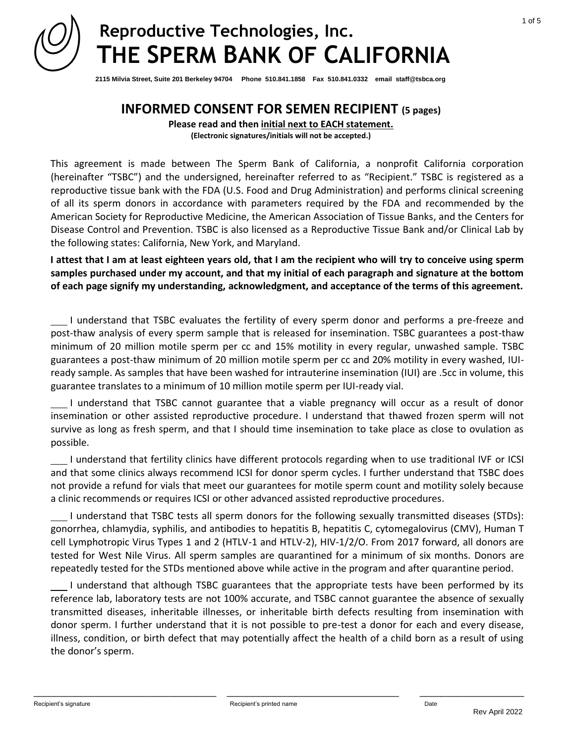

**2115 Milvia Street, Suite 201 Berkeley 94704 Phone 510.841.1858 Fax 510.841.0332 email staff@tsbca.org**

## **INFORMED CONSENT FOR SEMEN RECIPIENT (5 pages)**

**Please read and then initial next to EACH statement. (Electronic signatures/initials will not be accepted.)**

This agreement is made between The Sperm Bank of California, a nonprofit California corporation (hereinafter "TSBC") and the undersigned, hereinafter referred to as "Recipient." TSBC is registered as a reproductive tissue bank with the FDA (U.S. Food and Drug Administration) and performs clinical screening of all its sperm donors in accordance with parameters required by the FDA and recommended by the American Society for Reproductive Medicine, the American Association of Tissue Banks, and the Centers for Disease Control and Prevention. TSBC is also licensed as a Reproductive Tissue Bank and/or Clinical Lab by the following states: California, New York, and Maryland.

**I attest that I am at least eighteen years old, that I am the recipient who will try to conceive using sperm samples purchased under my account, and that my initial of each paragraph and signature at the bottom of each page signify my understanding, acknowledgment, and acceptance of the terms of this agreement.** 

 I understand that TSBC evaluates the fertility of every sperm donor and performs a pre-freeze and post-thaw analysis of every sperm sample that is released for insemination. TSBC guarantees a post-thaw minimum of 20 million motile sperm per cc and 15% motility in every regular, unwashed sample. TSBC guarantees a post-thaw minimum of 20 million motile sperm per cc and 20% motility in every washed, IUIready sample. As samples that have been washed for intrauterine insemination (IUI) are .5cc in volume, this guarantee translates to a minimum of 10 million motile sperm per IUI-ready vial.

 I understand that TSBC cannot guarantee that a viable pregnancy will occur as a result of donor insemination or other assisted reproductive procedure. I understand that thawed frozen sperm will not survive as long as fresh sperm, and that I should time insemination to take place as close to ovulation as possible.

 I understand that fertility clinics have different protocols regarding when to use traditional IVF or ICSI and that some clinics always recommend ICSI for donor sperm cycles. I further understand that TSBC does not provide a refund for vials that meet our guarantees for motile sperm count and motility solely because a clinic recommends or requires ICSI or other advanced assisted reproductive procedures.

 I understand that TSBC tests all sperm donors for the following sexually transmitted diseases (STDs): gonorrhea, chlamydia, syphilis, and antibodies to hepatitis B, hepatitis C, cytomegalovirus (CMV), Human T cell Lymphotropic Virus Types 1 and 2 (HTLV-1 and HTLV-2), HIV-1/2/O. From 2017 forward, all donors are tested for West Nile Virus. All sperm samples are quarantined for a minimum of six months. Donors are repeatedly tested for the STDs mentioned above while active in the program and after quarantine period.

 I understand that although TSBC guarantees that the appropriate tests have been performed by its reference lab, laboratory tests are not 100% accurate, and TSBC cannot guarantee the absence of sexually transmitted diseases, inheritable illnesses, or inheritable birth defects resulting from insemination with donor sperm. I further understand that it is not possible to pre-test a donor for each and every disease, illness, condition, or birth defect that may potentially affect the health of a child born as a result of using the donor's sperm.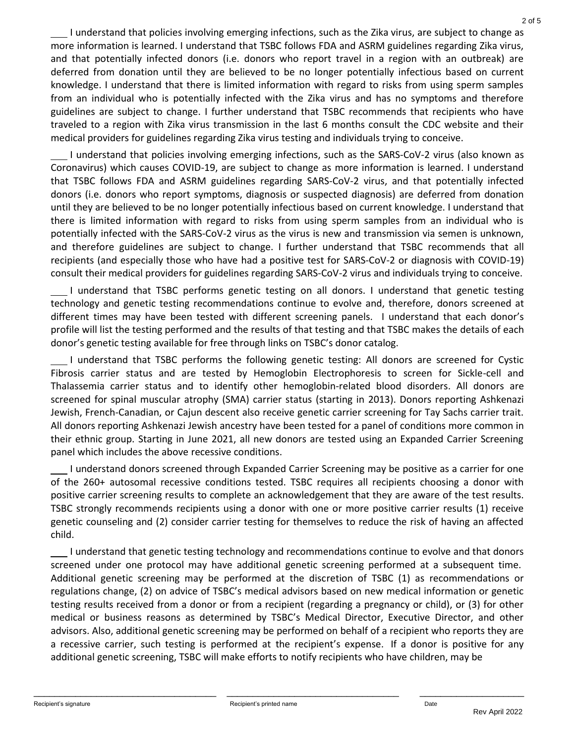I understand that policies involving emerging infections, such as the Zika virus, are subject to change as more information is learned. I understand that TSBC follows FDA and ASRM guidelines regarding Zika virus, and that potentially infected donors (i.e. donors who report travel in a region with an outbreak) are deferred from donation until they are believed to be no longer potentially infectious based on current knowledge. I understand that there is limited information with regard to risks from using sperm samples from an individual who is potentially infected with the Zika virus and has no symptoms and therefore guidelines are subject to change. I further understand that TSBC recommends that recipients who have traveled to a region with Zika virus transmission in the last 6 months consult the CDC website and their medical providers for guidelines regarding Zika virus testing and individuals trying to conceive.

 I understand that policies involving emerging infections, such as the SARS-CoV-2 virus (also known as Coronavirus) which causes COVID-19, are subject to change as more information is learned. I understand that TSBC follows FDA and ASRM guidelines regarding SARS-CoV-2 virus, and that potentially infected donors (i.e. donors who report symptoms, diagnosis or suspected diagnosis) are deferred from donation until they are believed to be no longer potentially infectious based on current knowledge. I understand that there is limited information with regard to risks from using sperm samples from an individual who is potentially infected with the SARS-CoV-2 virus as the virus is new and transmission via semen is unknown, and therefore guidelines are subject to change. I further understand that TSBC recommends that all recipients (and especially those who have had a positive test for SARS-CoV-2 or diagnosis with COVID-19) consult their medical providers for guidelines regarding SARS-CoV-2 virus and individuals trying to conceive.

 I understand that TSBC performs genetic testing on all donors. I understand that genetic testing technology and genetic testing recommendations continue to evolve and, therefore, donors screened at different times may have been tested with different screening panels. I understand that each donor's profile will list the testing performed and the results of that testing and that TSBC makes the details of each donor's genetic testing available for free through links on TSBC's donor catalog.

 I understand that TSBC performs the following genetic testing: All donors are screened for Cystic Fibrosis carrier status and are tested by Hemoglobin Electrophoresis to screen for Sickle-cell and Thalassemia carrier status and to identify other hemoglobin-related blood disorders. All donors are screened for spinal muscular atrophy (SMA) carrier status (starting in 2013). Donors reporting Ashkenazi Jewish, French-Canadian, or Cajun descent also receive genetic carrier screening for Tay Sachs carrier trait. All donors reporting Ashkenazi Jewish ancestry have been tested for a panel of conditions more common in their ethnic group. Starting in June 2021, all new donors are tested using an Expanded Carrier Screening panel which includes the above recessive conditions.

 I understand donors screened through Expanded Carrier Screening may be positive as a carrier for one of the 260+ autosomal recessive conditions tested. TSBC requires all recipients choosing a donor with positive carrier screening results to complete an acknowledgement that they are aware of the test results. TSBC strongly recommends recipients using a donor with one or more positive carrier results (1) receive genetic counseling and (2) consider carrier testing for themselves to reduce the risk of having an affected child.

 I understand that genetic testing technology and recommendations continue to evolve and that donors screened under one protocol may have additional genetic screening performed at a subsequent time. Additional genetic screening may be performed at the discretion of TSBC (1) as recommendations or regulations change, (2) on advice of TSBC's medical advisors based on new medical information or genetic testing results received from a donor or from a recipient (regarding a pregnancy or child), or (3) for other medical or business reasons as determined by TSBC's Medical Director, Executive Director, and other advisors. Also, additional genetic screening may be performed on behalf of a recipient who reports they are a recessive carrier, such testing is performed at the recipient's expense. If a donor is positive for any additional genetic screening, TSBC will make efforts to notify recipients who have children, may be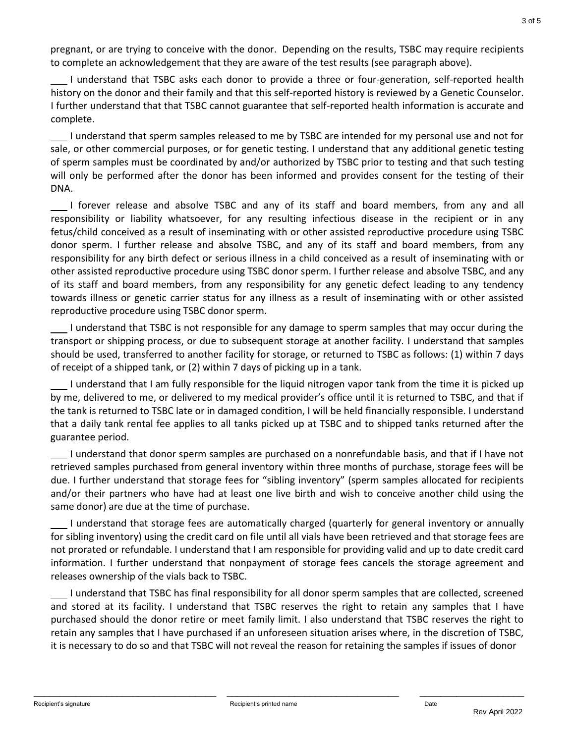pregnant, or are trying to conceive with the donor. Depending on the results, TSBC may require recipients to complete an acknowledgement that they are aware of the test results (see paragraph above).

 I understand that TSBC asks each donor to provide a three or four-generation, self-reported health history on the donor and their family and that this self-reported history is reviewed by a Genetic Counselor. I further understand that that TSBC cannot guarantee that self-reported health information is accurate and complete.

 I understand that sperm samples released to me by TSBC are intended for my personal use and not for sale, or other commercial purposes, or for genetic testing. I understand that any additional genetic testing of sperm samples must be coordinated by and/or authorized by TSBC prior to testing and that such testing will only be performed after the donor has been informed and provides consent for the testing of their DNA.

 I forever release and absolve TSBC and any of its staff and board members, from any and all responsibility or liability whatsoever, for any resulting infectious disease in the recipient or in any fetus/child conceived as a result of inseminating with or other assisted reproductive procedure using TSBC donor sperm. I further release and absolve TSBC, and any of its staff and board members, from any responsibility for any birth defect or serious illness in a child conceived as a result of inseminating with or other assisted reproductive procedure using TSBC donor sperm. I further release and absolve TSBC, and any of its staff and board members, from any responsibility for any genetic defect leading to any tendency towards illness or genetic carrier status for any illness as a result of inseminating with or other assisted reproductive procedure using TSBC donor sperm.

 I understand that TSBC is not responsible for any damage to sperm samples that may occur during the transport or shipping process, or due to subsequent storage at another facility. I understand that samples should be used, transferred to another facility for storage, or returned to TSBC as follows: (1) within 7 days of receipt of a shipped tank, or (2) within 7 days of picking up in a tank.

 I understand that I am fully responsible for the liquid nitrogen vapor tank from the time it is picked up by me, delivered to me, or delivered to my medical provider's office until it is returned to TSBC, and that if the tank is returned to TSBC late or in damaged condition, I will be held financially responsible. I understand that a daily tank rental fee applies to all tanks picked up at TSBC and to shipped tanks returned after the guarantee period.

 I understand that donor sperm samples are purchased on a nonrefundable basis, and that if I have not retrieved samples purchased from general inventory within three months of purchase, storage fees will be due. I further understand that storage fees for "sibling inventory" (sperm samples allocated for recipients and/or their partners who have had at least one live birth and wish to conceive another child using the same donor) are due at the time of purchase.

 I understand that storage fees are automatically charged (quarterly for general inventory or annually for sibling inventory) using the credit card on file until all vials have been retrieved and that storage fees are not prorated or refundable. I understand that I am responsible for providing valid and up to date credit card information. I further understand that nonpayment of storage fees cancels the storage agreement and releases ownership of the vials back to TSBC.

 I understand that TSBC has final responsibility for all donor sperm samples that are collected, screened and stored at its facility. I understand that TSBC reserves the right to retain any samples that I have purchased should the donor retire or meet family limit. I also understand that TSBC reserves the right to retain any samples that I have purchased if an unforeseen situation arises where, in the discretion of TSBC, it is necessary to do so and that TSBC will not reveal the reason for retaining the samples if issues of donor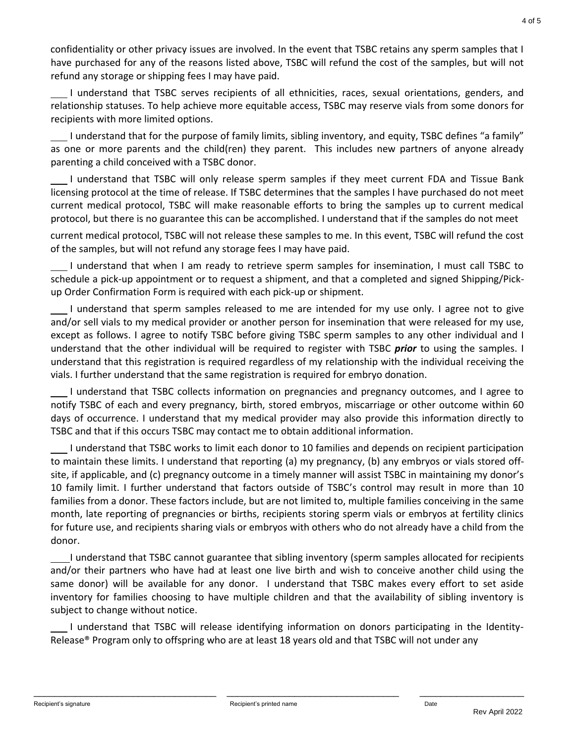confidentiality or other privacy issues are involved. In the event that TSBC retains any sperm samples that I have purchased for any of the reasons listed above, TSBC will refund the cost of the samples, but will not refund any storage or shipping fees I may have paid.

 I understand that TSBC serves recipients of all ethnicities, races, sexual orientations, genders, and relationship statuses. To help achieve more equitable access, TSBC may reserve vials from some donors for recipients with more limited options.

 I understand that for the purpose of family limits, sibling inventory, and equity, TSBC defines "a family" as one or more parents and the child(ren) they parent. This includes new partners of anyone already parenting a child conceived with a TSBC donor.

 I understand that TSBC will only release sperm samples if they meet current FDA and Tissue Bank licensing protocol at the time of release. If TSBC determines that the samples I have purchased do not meet current medical protocol, TSBC will make reasonable efforts to bring the samples up to current medical protocol, but there is no guarantee this can be accomplished. I understand that if the samples do not meet

current medical protocol, TSBC will not release these samples to me. In this event, TSBC will refund the cost of the samples, but will not refund any storage fees I may have paid.

 I understand that when I am ready to retrieve sperm samples for insemination, I must call TSBC to schedule a pick-up appointment or to request a shipment, and that a completed and signed Shipping/Pickup Order Confirmation Form is required with each pick-up or shipment.

 I understand that sperm samples released to me are intended for my use only. I agree not to give and/or sell vials to my medical provider or another person for insemination that were released for my use, except as follows. I agree to notify TSBC before giving TSBC sperm samples to any other individual and I understand that the other individual will be required to register with TSBC *prior* to using the samples. I understand that this registration is required regardless of my relationship with the individual receiving the vials. I further understand that the same registration is required for embryo donation.

 I understand that TSBC collects information on pregnancies and pregnancy outcomes, and I agree to notify TSBC of each and every pregnancy, birth, stored embryos, miscarriage or other outcome within 60 days of occurrence. I understand that my medical provider may also provide this information directly to TSBC and that if this occurs TSBC may contact me to obtain additional information.

 I understand that TSBC works to limit each donor to 10 families and depends on recipient participation to maintain these limits. I understand that reporting (a) my pregnancy, (b) any embryos or vials stored offsite, if applicable, and (c) pregnancy outcome in a timely manner will assist TSBC in maintaining my donor's 10 family limit. I further understand that factors outside of TSBC's control may result in more than 10 families from a donor. These factors include, but are not limited to, multiple families conceiving in the same month, late reporting of pregnancies or births, recipients storing sperm vials or embryos at fertility clinics for future use, and recipients sharing vials or embryos with others who do not already have a child from the donor.

 I understand that TSBC cannot guarantee that sibling inventory (sperm samples allocated for recipients and/or their partners who have had at least one live birth and wish to conceive another child using the same donor) will be available for any donor. I understand that TSBC makes every effort to set aside inventory for families choosing to have multiple children and that the availability of sibling inventory is subject to change without notice.

 I understand that TSBC will release identifying information on donors participating in the Identity-Release® Program only to offspring who are at least 18 years old and that TSBC will not under any